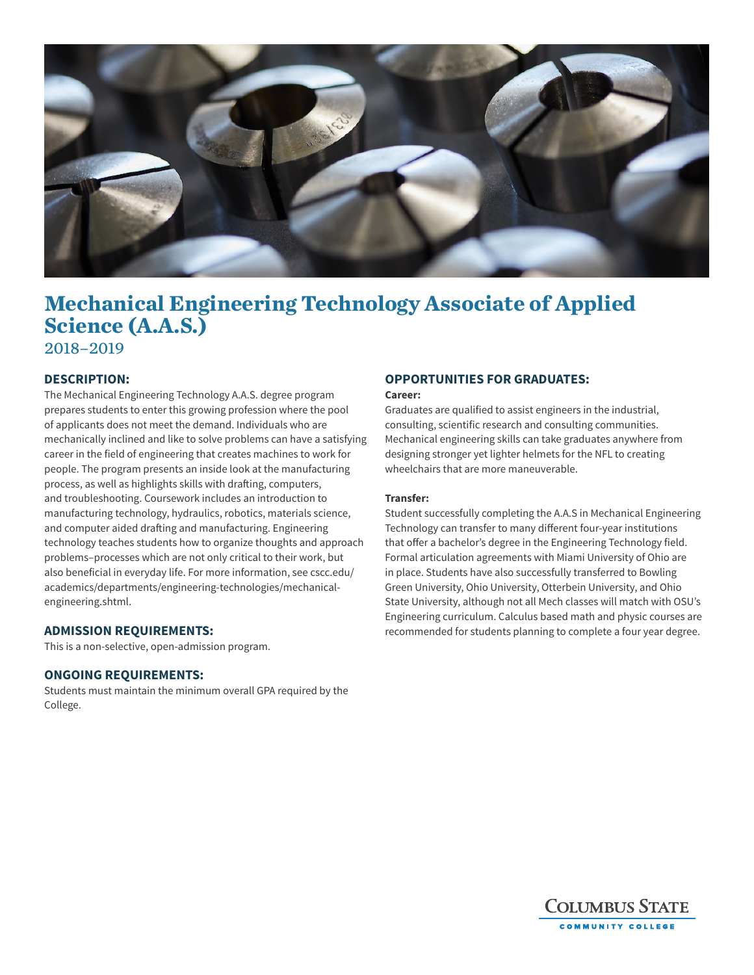

# **Mechanical Engineering Technology Associate of Applied Science (A.A.S.)** 2018–2019

## **DESCRIPTION:**

The Mechanical Engineering Technology A.A.S. degree program prepares students to enter this growing profession where the pool of applicants does not meet the demand. Individuals who are mechanically inclined and like to solve problems can have a satisfying career in the field of engineering that creates machines to work for people. The program presents an inside look at the manufacturing process, as well as highlights skills with drafting, computers, and troubleshooting. Coursework includes an introduction to manufacturing technology, hydraulics, robotics, materials science, and computer aided drafting and manufacturing. Engineering technology teaches students how to organize thoughts and approach problems–processes which are not only critical to their work, but also beneficial in everyday life. For more information, see cscc.edu/ academics/departments/engineering-technologies/mechanicalengineering.shtml.

### **ADMISSION REQUIREMENTS:**

This is a non-selective, open-admission program.

#### **ONGOING REQUIREMENTS:**

Students must maintain the minimum overall GPA required by the College.

## **OPPORTUNITIES FOR GRADUATES:**

#### **Career:**

Graduates are qualified to assist engineers in the industrial, consulting, scientific research and consulting communities. Mechanical engineering skills can take graduates anywhere from designing stronger yet lighter helmets for the NFL to creating wheelchairs that are more maneuverable.

#### **Transfer:**

Student successfully completing the A.A.S in Mechanical Engineering Technology can transfer to many different four-year institutions that offer a bachelor's degree in the Engineering Technology field. Formal articulation agreements with Miami University of Ohio are in place. Students have also successfully transferred to Bowling Green University, Ohio University, Otterbein University, and Ohio State University, although not all Mech classes will match with OSU's Engineering curriculum. Calculus based math and physic courses are recommended for students planning to complete a four year degree.